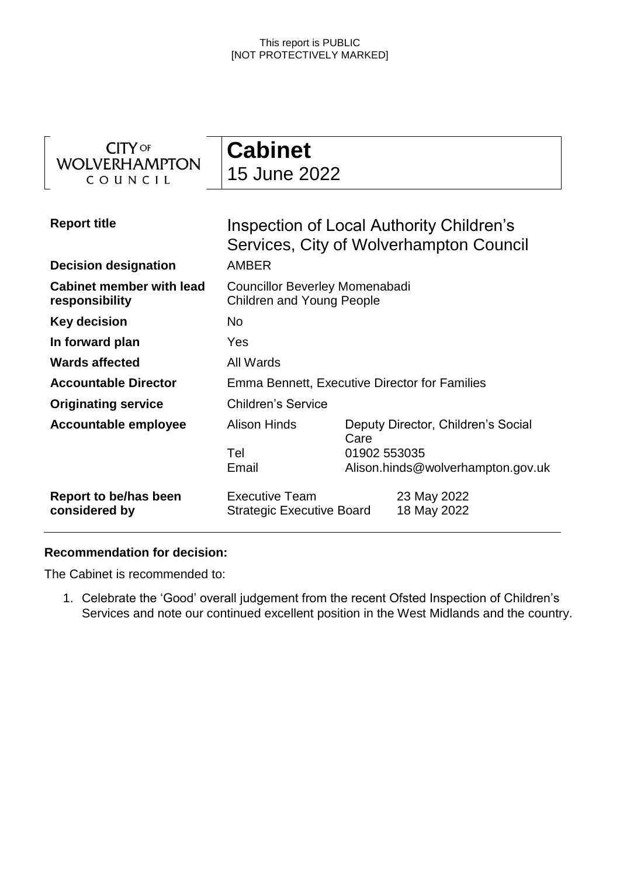| <b>CITY</b> OF<br><b>WOLVERHAMPTON</b><br>COUNCIL  | <b>Cabinet</b><br>15 June 2022                                                                      |                                                                                                 |  |
|----------------------------------------------------|-----------------------------------------------------------------------------------------------------|-------------------------------------------------------------------------------------------------|--|
| <b>Report title</b><br><b>Decision designation</b> | Inspection of Local Authority Children's<br>Services, City of Wolverhampton Council<br><b>AMBER</b> |                                                                                                 |  |
| <b>Cabinet member with lead</b><br>responsibility  | <b>Councillor Beverley Momenabadi</b><br><b>Children and Young People</b>                           |                                                                                                 |  |
| <b>Key decision</b>                                | <b>No</b>                                                                                           |                                                                                                 |  |
| In forward plan                                    | Yes                                                                                                 |                                                                                                 |  |
| <b>Wards affected</b>                              | All Wards                                                                                           |                                                                                                 |  |
| <b>Accountable Director</b>                        | Emma Bennett, Executive Director for Families                                                       |                                                                                                 |  |
| <b>Originating service</b>                         | <b>Children's Service</b>                                                                           |                                                                                                 |  |
| <b>Accountable employee</b>                        | <b>Alison Hinds</b><br>Tel<br>Email                                                                 | Deputy Director, Children's Social<br>Care<br>01902 553035<br>Alison.hinds@wolverhampton.gov.uk |  |
| Report to be/has been<br>considered by             | <b>Executive Team</b><br><b>Strategic Executive Board</b>                                           | 23 May 2022<br>18 May 2022                                                                      |  |

### **Recommendation for decision:**

The Cabinet is recommended to:

1. Celebrate the 'Good' overall judgement from the recent Ofsted Inspection of Children's Services and note our continued excellent position in the West Midlands and the country.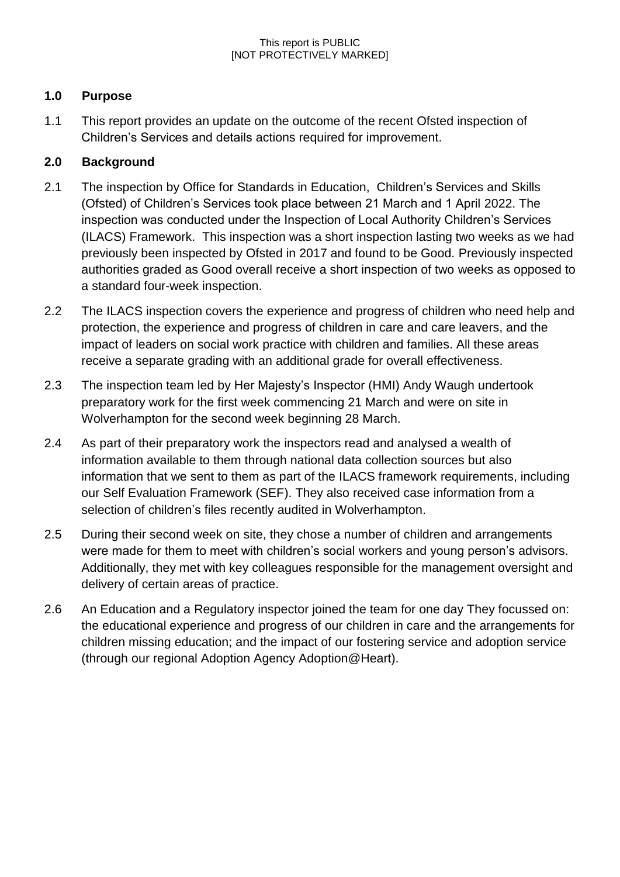## **1.0 Purpose**

1.1 This report provides an update on the outcome of the recent Ofsted inspection of Children's Services and details actions required for improvement.

## **2.0 Background**

- 2.1 The inspection by Office for Standards in Education, Children's Services and Skills (Ofsted) of Children's Services took place between 21 March and 1 April 2022. The inspection was conducted under the Inspection of Local Authority Children's Services (ILACS) Framework. This inspection was a short inspection lasting two weeks as we had previously been inspected by Ofsted in 2017 and found to be Good. Previously inspected authorities graded as Good overall receive a short inspection of two weeks as opposed to a standard four-week inspection.
- 2.2 The ILACS inspection covers the experience and progress of children who need help and protection, the experience and progress of children in care and care leavers, and the impact of leaders on social work practice with children and families. All these areas receive a separate grading with an additional grade for overall effectiveness.
- 2.3 The inspection team led by Her Majesty's Inspector (HMI) Andy Waugh undertook preparatory work for the first week commencing 21 March and were on site in Wolverhampton for the second week beginning 28 March.
- 2.4 As part of their preparatory work the inspectors read and analysed a wealth of information available to them through national data collection sources but also information that we sent to them as part of the ILACS framework requirements, including our Self Evaluation Framework (SEF). They also received case information from a selection of children's files recently audited in Wolverhampton.
- 2.5 During their second week on site, they chose a number of children and arrangements were made for them to meet with children's social workers and young person's advisors. Additionally, they met with key colleagues responsible for the management oversight and delivery of certain areas of practice.
- 2.6 An Education and a Regulatory inspector joined the team for one day They focussed on: the educational experience and progress of our children in care and the arrangements for children missing education; and the impact of our fostering service and adoption service (through our regional Adoption Agency Adoption@Heart).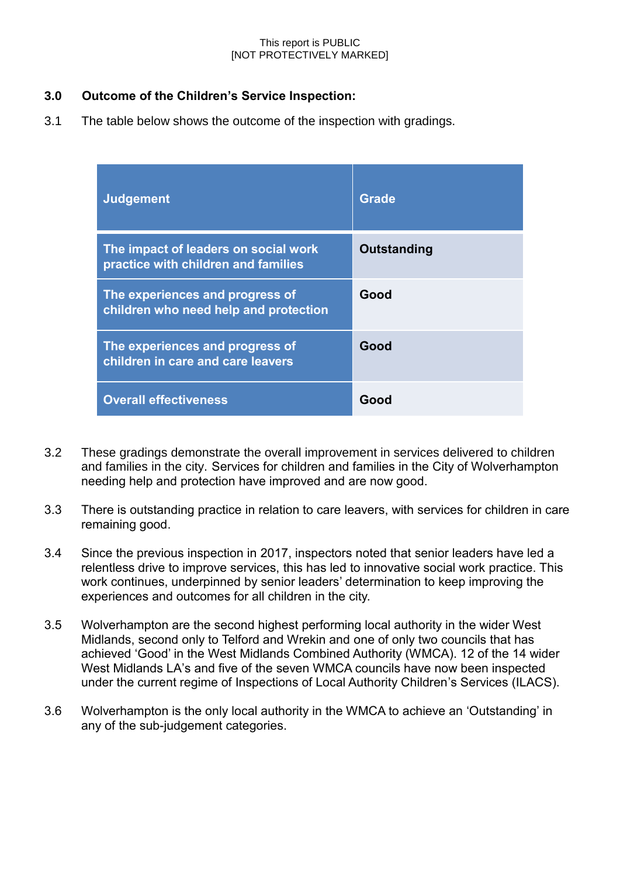### **3.0 Outcome of the Children's Service Inspection:**

3.1 The table below shows the outcome of the inspection with gradings.

| <b>Judgement</b>                                                            | <b>Grade</b> |  |
|-----------------------------------------------------------------------------|--------------|--|
| The impact of leaders on social work<br>practice with children and families | Outstanding  |  |
| The experiences and progress of<br>children who need help and protection    | Good         |  |
| The experiences and progress of<br>children in care and care leavers        | Good         |  |
| <b>Overall effectiveness</b>                                                | Good         |  |

- 3.2 These gradings demonstrate the overall improvement in services delivered to children and families in the city. Services for children and families in the City of Wolverhampton needing help and protection have improved and are now good.
- 3.3 There is outstanding practice in relation to care leavers, with services for children in care remaining good.
- 3.4 Since the previous inspection in 2017, inspectors noted that senior leaders have led a relentless drive to improve services, this has led to innovative social work practice. This work continues, underpinned by senior leaders' determination to keep improving the experiences and outcomes for all children in the city.
- 3.5 Wolverhampton are the second highest performing local authority in the wider West Midlands, second only to Telford and Wrekin and one of only two councils that has achieved 'Good' in the West Midlands Combined Authority (WMCA). 12 of the 14 wider West Midlands LA's and five of the seven WMCA councils have now been inspected under the current regime of Inspections of Local Authority Children's Services (ILACS).
- 3.6 Wolverhampton is the only local authority in the WMCA to achieve an 'Outstanding' in any of the sub-judgement categories.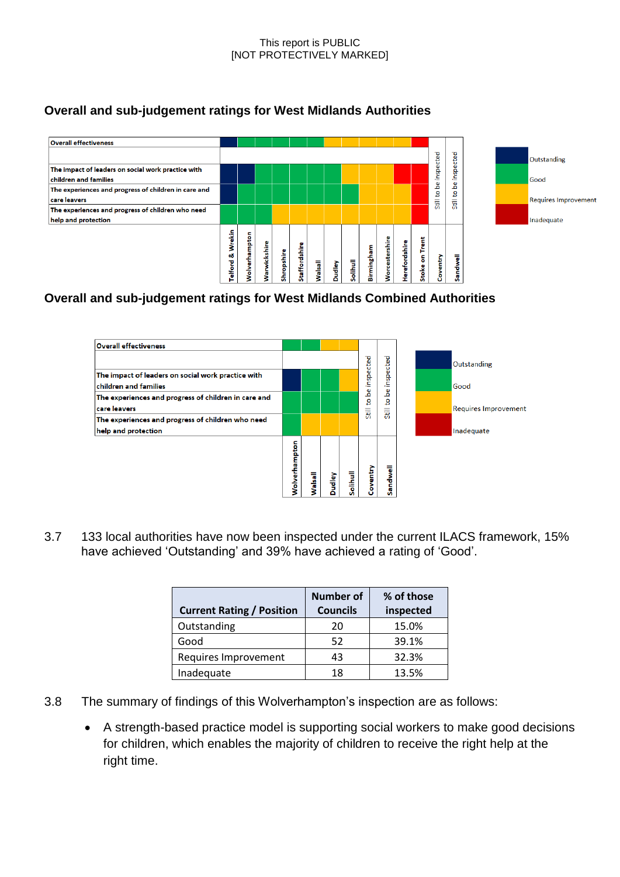## **Overall and sub-judgement ratings for West Midlands Authorities**



# **Overall and sub-judgement ratings for West Midlands Combined Authorities**



3.7 133 local authorities have now been inspected under the current ILACS framework, 15% have achieved 'Outstanding' and 39% have achieved a rating of 'Good'.

| <b>Current Rating / Position</b> | <b>Number of</b><br><b>Councils</b> | % of those<br>inspected |
|----------------------------------|-------------------------------------|-------------------------|
| Outstanding                      | 20                                  | 15.0%                   |
| Good                             | 52                                  | 39.1%                   |
| Requires Improvement             | 43                                  | 32.3%                   |
| Inadequate                       | 18                                  | 13.5%                   |

- 3.8 The summary of findings of this Wolverhampton's inspection are as follows:
	- A strength-based practice model is supporting social workers to make good decisions for children, which enables the majority of children to receive the right help at the right time.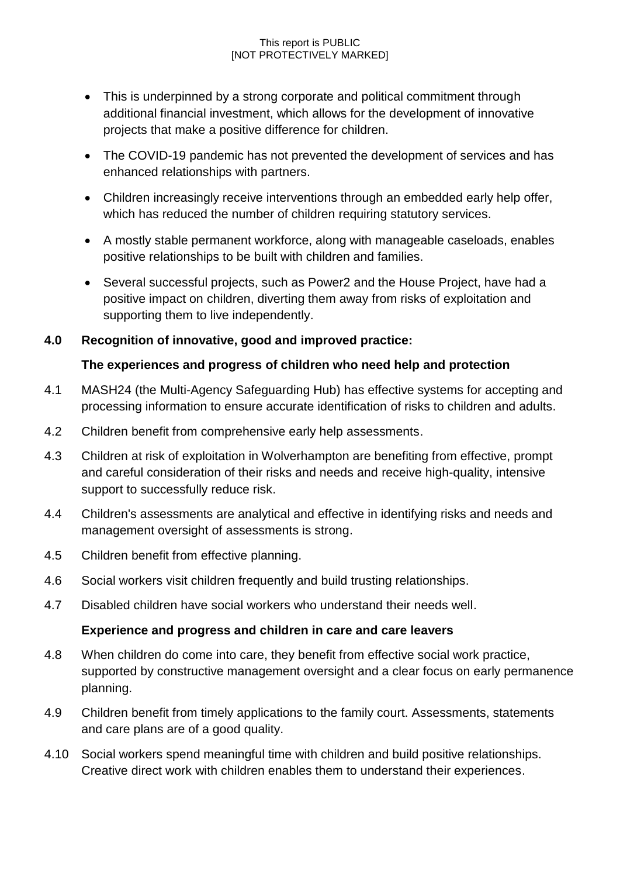- This is underpinned by a strong corporate and political commitment through additional financial investment, which allows for the development of innovative projects that make a positive difference for children.
- The COVID-19 pandemic has not prevented the development of services and has enhanced relationships with partners.
- Children increasingly receive interventions through an embedded early help offer, which has reduced the number of children requiring statutory services.
- A mostly stable permanent workforce, along with manageable caseloads, enables positive relationships to be built with children and families.
- Several successful projects, such as Power2 and the House Project, have had a positive impact on children, diverting them away from risks of exploitation and supporting them to live independently.

## **4.0 Recognition of innovative, good and improved practice:**

## **The experiences and progress of children who need help and protection**

- 4.1 MASH24 (the Multi-Agency Safeguarding Hub) has effective systems for accepting and processing information to ensure accurate identification of risks to children and adults.
- 4.2 Children benefit from comprehensive early help assessments.
- 4.3 Children at risk of exploitation in Wolverhampton are benefiting from effective, prompt and careful consideration of their risks and needs and receive high-quality, intensive support to successfully reduce risk.
- 4.4 Children's assessments are analytical and effective in identifying risks and needs and management oversight of assessments is strong.
- 4.5 Children benefit from effective planning.
- 4.6 Social workers visit children frequently and build trusting relationships.
- 4.7 Disabled children have social workers who understand their needs well.

## **Experience and progress and children in care and care leavers**

- 4.8 When children do come into care, they benefit from effective social work practice, supported by constructive management oversight and a clear focus on early permanence planning.
- 4.9 Children benefit from timely applications to the family court. Assessments, statements and care plans are of a good quality.
- 4.10 Social workers spend meaningful time with children and build positive relationships. Creative direct work with children enables them to understand their experiences.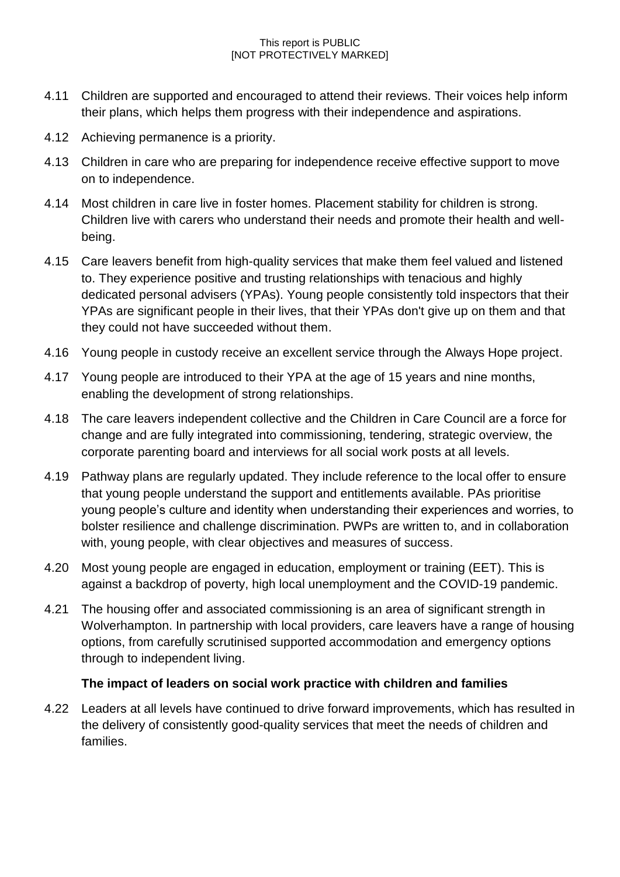- 4.11 Children are supported and encouraged to attend their reviews. Their voices help inform their plans, which helps them progress with their independence and aspirations.
- 4.12 Achieving permanence is a priority.
- 4.13 Children in care who are preparing for independence receive effective support to move on to independence.
- 4.14 Most children in care live in foster homes. Placement stability for children is strong. Children live with carers who understand their needs and promote their health and wellbeing.
- 4.15 Care leavers benefit from high-quality services that make them feel valued and listened to. They experience positive and trusting relationships with tenacious and highly dedicated personal advisers (YPAs). Young people consistently told inspectors that their YPAs are significant people in their lives, that their YPAs don't give up on them and that they could not have succeeded without them.
- 4.16 Young people in custody receive an excellent service through the Always Hope project.
- 4.17 Young people are introduced to their YPA at the age of 15 years and nine months, enabling the development of strong relationships.
- 4.18 The care leavers independent collective and the Children in Care Council are a force for change and are fully integrated into commissioning, tendering, strategic overview, the corporate parenting board and interviews for all social work posts at all levels.
- 4.19 Pathway plans are regularly updated. They include reference to the local offer to ensure that young people understand the support and entitlements available. PAs prioritise young people's culture and identity when understanding their experiences and worries, to bolster resilience and challenge discrimination. PWPs are written to, and in collaboration with, young people, with clear objectives and measures of success.
- 4.20 Most young people are engaged in education, employment or training (EET). This is against a backdrop of poverty, high local unemployment and the COVID-19 pandemic.
- 4.21 The housing offer and associated commissioning is an area of significant strength in Wolverhampton. In partnership with local providers, care leavers have a range of housing options, from carefully scrutinised supported accommodation and emergency options through to independent living.

## **The impact of leaders on social work practice with children and families**

4.22 Leaders at all levels have continued to drive forward improvements, which has resulted in the delivery of consistently good-quality services that meet the needs of children and families.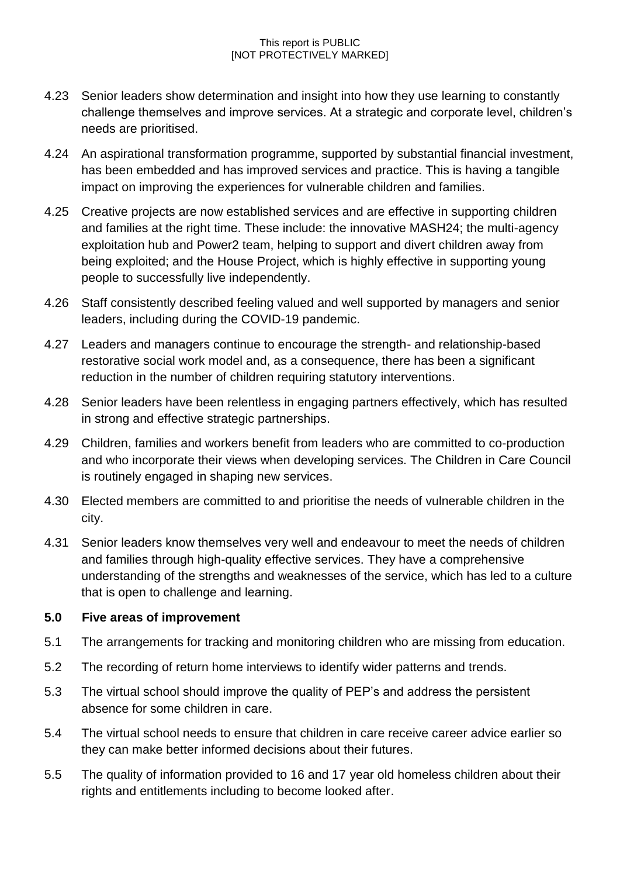- 4.23 Senior leaders show determination and insight into how they use learning to constantly challenge themselves and improve services. At a strategic and corporate level, children's needs are prioritised.
- 4.24 An aspirational transformation programme, supported by substantial financial investment, has been embedded and has improved services and practice. This is having a tangible impact on improving the experiences for vulnerable children and families.
- 4.25 Creative projects are now established services and are effective in supporting children and families at the right time. These include: the innovative MASH24; the multi-agency exploitation hub and Power2 team, helping to support and divert children away from being exploited; and the House Project, which is highly effective in supporting young people to successfully live independently.
- 4.26 Staff consistently described feeling valued and well supported by managers and senior leaders, including during the COVID-19 pandemic.
- 4.27 Leaders and managers continue to encourage the strength- and relationship-based restorative social work model and, as a consequence, there has been a significant reduction in the number of children requiring statutory interventions.
- 4.28 Senior leaders have been relentless in engaging partners effectively, which has resulted in strong and effective strategic partnerships.
- 4.29 Children, families and workers benefit from leaders who are committed to co-production and who incorporate their views when developing services. The Children in Care Council is routinely engaged in shaping new services.
- 4.30 Elected members are committed to and prioritise the needs of vulnerable children in the city.
- 4.31 Senior leaders know themselves very well and endeavour to meet the needs of children and families through high-quality effective services. They have a comprehensive understanding of the strengths and weaknesses of the service, which has led to a culture that is open to challenge and learning.

## **5.0 Five areas of improvement**

- 5.1 The arrangements for tracking and monitoring children who are missing from education.
- 5.2 The recording of return home interviews to identify wider patterns and trends.
- 5.3 The virtual school should improve the quality of PEP's and address the persistent absence for some children in care.
- 5.4 The virtual school needs to ensure that children in care receive career advice earlier so they can make better informed decisions about their futures.
- 5.5 The quality of information provided to 16 and 17 year old homeless children about their rights and entitlements including to become looked after.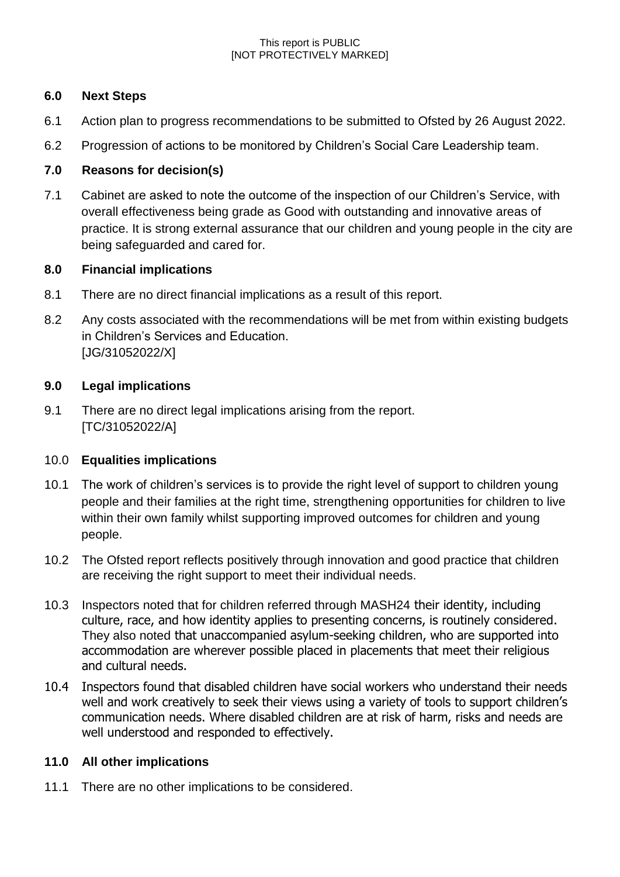### **6.0 Next Steps**

- 6.1 Action plan to progress recommendations to be submitted to Ofsted by 26 August 2022.
- 6.2 Progression of actions to be monitored by Children's Social Care Leadership team.

### **7.0 Reasons for decision(s)**

7.1 Cabinet are asked to note the outcome of the inspection of our Children's Service, with overall effectiveness being grade as Good with outstanding and innovative areas of practice. It is strong external assurance that our children and young people in the city are being safeguarded and cared for.

### **8.0 Financial implications**

- 8.1 There are no direct financial implications as a result of this report.
- 8.2 Any costs associated with the recommendations will be met from within existing budgets in Children's Services and Education. [JG/31052022/X]

### **9.0 Legal implications**

9.1 There are no direct legal implications arising from the report. [TC/31052022/A]

## 10.0 **Equalities implications**

- 10.1 The work of children's services is to provide the right level of support to children young people and their families at the right time, strengthening opportunities for children to live within their own family whilst supporting improved outcomes for children and young people.
- 10.2 The Ofsted report reflects positively through innovation and good practice that children are receiving the right support to meet their individual needs.
- 10.3 Inspectors noted that for children referred through MASH24 their identity, including culture, race, and how identity applies to presenting concerns, is routinely considered. They also noted that unaccompanied asylum-seeking children, who are supported into accommodation are wherever possible placed in placements that meet their religious and cultural needs.
- 10.4 Inspectors found that disabled children have social workers who understand their needs well and work creatively to seek their views using a variety of tools to support children's communication needs. Where disabled children are at risk of harm, risks and needs are well understood and responded to effectively.

## **11.0 All other implications**

11.1 There are no other implications to be considered.